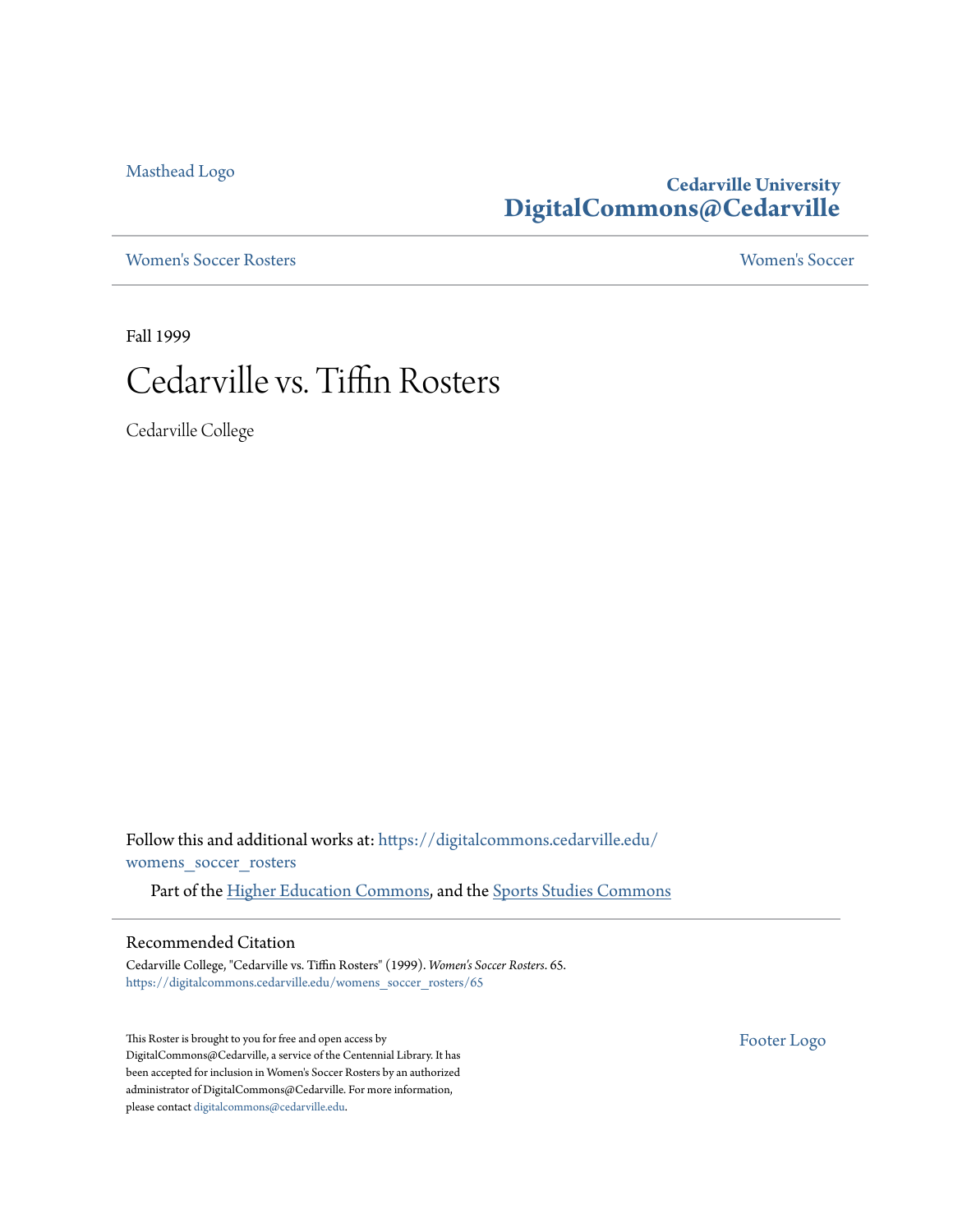[Masthead Logo](http://www.cedarville.edu/?utm_source=digitalcommons.cedarville.edu%2Fwomens_soccer_rosters%2F65&utm_medium=PDF&utm_campaign=PDFCoverPages)

### **Cedarville University [DigitalCommons@Cedarville](https://digitalcommons.cedarville.edu?utm_source=digitalcommons.cedarville.edu%2Fwomens_soccer_rosters%2F65&utm_medium=PDF&utm_campaign=PDFCoverPages)**

[Women's Soccer Rosters](https://digitalcommons.cedarville.edu/womens_soccer_rosters?utm_source=digitalcommons.cedarville.edu%2Fwomens_soccer_rosters%2F65&utm_medium=PDF&utm_campaign=PDFCoverPages) [Women's Soccer](https://digitalcommons.cedarville.edu/womens_soccer?utm_source=digitalcommons.cedarville.edu%2Fwomens_soccer_rosters%2F65&utm_medium=PDF&utm_campaign=PDFCoverPages)

Fall 1999

## Cedarville vs. Tiffin Rosters

Cedarville College

Follow this and additional works at: [https://digitalcommons.cedarville.edu/](https://digitalcommons.cedarville.edu/womens_soccer_rosters?utm_source=digitalcommons.cedarville.edu%2Fwomens_soccer_rosters%2F65&utm_medium=PDF&utm_campaign=PDFCoverPages) [womens\\_soccer\\_rosters](https://digitalcommons.cedarville.edu/womens_soccer_rosters?utm_source=digitalcommons.cedarville.edu%2Fwomens_soccer_rosters%2F65&utm_medium=PDF&utm_campaign=PDFCoverPages)

Part of the [Higher Education Commons](http://network.bepress.com/hgg/discipline/1245?utm_source=digitalcommons.cedarville.edu%2Fwomens_soccer_rosters%2F65&utm_medium=PDF&utm_campaign=PDFCoverPages), and the [Sports Studies Commons](http://network.bepress.com/hgg/discipline/1198?utm_source=digitalcommons.cedarville.edu%2Fwomens_soccer_rosters%2F65&utm_medium=PDF&utm_campaign=PDFCoverPages)

#### Recommended Citation

Cedarville College, "Cedarville vs. Tiffin Rosters" (1999). *Women's Soccer Rosters*. 65. [https://digitalcommons.cedarville.edu/womens\\_soccer\\_rosters/65](https://digitalcommons.cedarville.edu/womens_soccer_rosters/65?utm_source=digitalcommons.cedarville.edu%2Fwomens_soccer_rosters%2F65&utm_medium=PDF&utm_campaign=PDFCoverPages)

This Roster is brought to you for free and open access by DigitalCommons@Cedarville, a service of the Centennial Library. It has been accepted for inclusion in Women's Soccer Rosters by an authorized administrator of DigitalCommons@Cedarville. For more information, please contact [digitalcommons@cedarville.edu.](mailto:digitalcommons@cedarville.edu)

[Footer Logo](http://www.cedarville.edu/Academics/Library.aspx?utm_source=digitalcommons.cedarville.edu%2Fwomens_soccer_rosters%2F65&utm_medium=PDF&utm_campaign=PDFCoverPages)